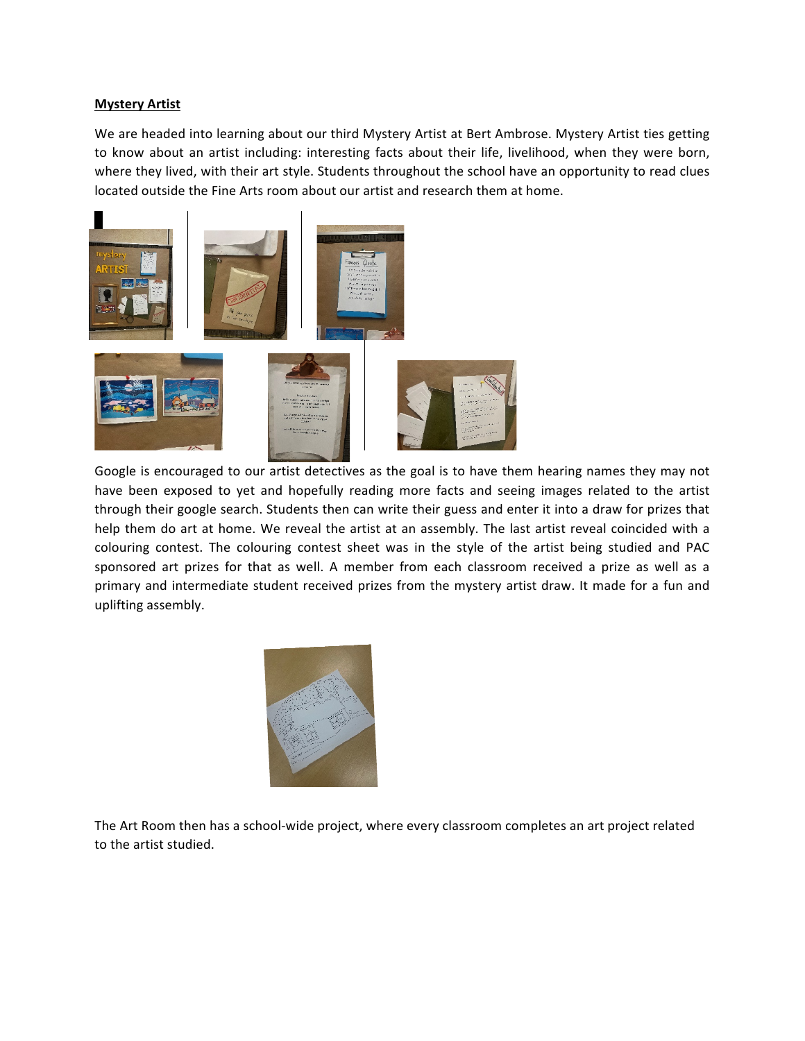## **Mystery Artist**

We are headed into learning about our third Mystery Artist at Bert Ambrose. Mystery Artist ties getting to know about an artist including: interesting facts about their life, livelihood, when they were born, where they lived, with their art style. Students throughout the school have an opportunity to read clues located outside the Fine Arts room about our artist and research them at home.



Google is encouraged to our artist detectives as the goal is to have them hearing names they may not have been exposed to yet and hopefully reading more facts and seeing images related to the artist through their google search. Students then can write their guess and enter it into a draw for prizes that help them do art at home. We reveal the artist at an assembly. The last artist reveal coincided with a colouring contest. The colouring contest sheet was in the style of the artist being studied and PAC sponsored art prizes for that as well. A member from each classroom received a prize as well as a primary and intermediate student received prizes from the mystery artist draw. It made for a fun and uplifting assembly.



The Art Room then has a school-wide project, where every classroom completes an art project related to the artist studied.